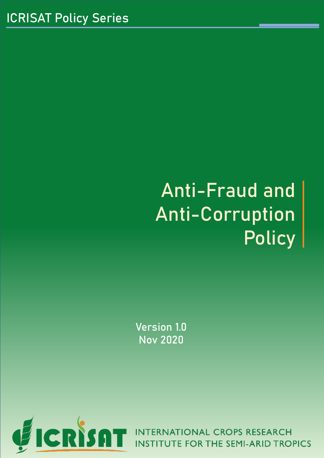# Anti-Fraud and Anti-Corruption **Policy**

Version 1.0 Nov 2020

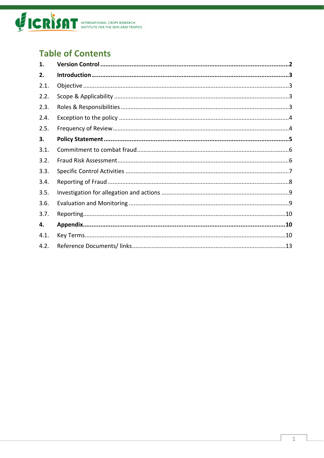

# **Table of Contents**

| 1.   |  |
|------|--|
| 2.   |  |
| 2.1. |  |
| 2.2. |  |
| 2.3. |  |
| 2.4. |  |
| 2.5. |  |
| 3.   |  |
| 3.1. |  |
| 3.2. |  |
| 3.3. |  |
| 3.4. |  |
| 3.5. |  |
| 3.6. |  |
| 3.7. |  |
| 4.   |  |
| 4.1. |  |
| 4.2. |  |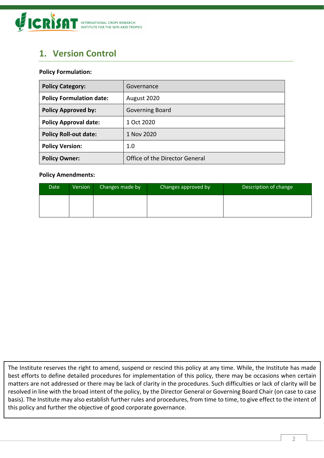

# <span id="page-2-0"></span>**1. Version Control**

#### **Policy Formulation:**

| <b>Policy Category:</b>         | Governance                     |
|---------------------------------|--------------------------------|
| <b>Policy Formulation date:</b> | August 2020                    |
| <b>Policy Approved by:</b>      | Governing Board                |
| <b>Policy Approval date:</b>    | 1 Oct 2020                     |
| <b>Policy Roll-out date:</b>    | 1 Nov 2020                     |
| <b>Policy Version:</b>          | 1.0                            |
| <b>Policy Owner:</b>            | Office of the Director General |

#### **Policy Amendments:**

| Date | Version | Changes made by | Changes approved by | Description of change |
|------|---------|-----------------|---------------------|-----------------------|
|      |         |                 |                     |                       |
|      |         |                 |                     |                       |

The Institute reserves the right to amend, suspend or rescind this policy at any time. While, the Institute has made best efforts to define detailed procedures for implementation of this policy, there may be occasions when certain matters are not addressed or there may be lack of clarity in the procedures. Such difficulties or lack of clarity will be resolved in line with the broad intent of the policy, by the Director General or Governing Board Chair (on case to case basis). The Institute may also establish further rules and procedures, from time to time, to give effect to the intent of this policy and further the objective of good corporate governance.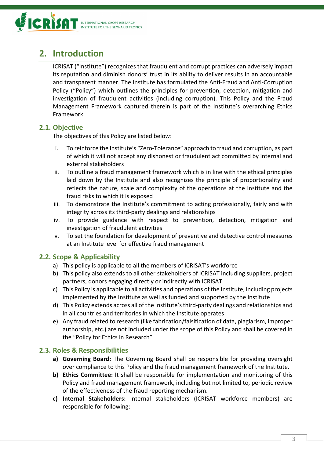

# <span id="page-3-0"></span>**2. Introduction**

ICRISAT ("Institute") recognizes that fraudulent and corrupt practices can adversely impact its reputation and diminish donors' trust in its ability to deliver results in an accountable and transparent manner. The Institute has formulated the Anti-Fraud and Anti-Corruption Policy ("Policy") which outlines the principles for prevention, detection, mitigation and investigation of fraudulent activities (including corruption). This Policy and the Fraud Management Framework captured therein is part of the Institute's overarching Ethics Framework.

## <span id="page-3-1"></span>**2.1. Objective**

The objectives of this Policy are listed below:

- i. To reinforce the Institute's "Zero-Tolerance" approach to fraud and corruption, as part of which it will not accept any dishonest or fraudulent act committed by internal and external stakeholders
- ii. To outline a fraud management framework which is in line with the ethical principles laid down by the Institute and also recognizes the principle of proportionality and reflects the nature, scale and complexity of the operations at the Institute and the fraud risks to which it is exposed
- iii. To demonstrate the Institute's commitment to acting professionally, fairly and with integrity across its third-party dealings and relationships
- iv. To provide guidance with respect to prevention, detection, mitigation and investigation of fraudulent activities
- v. To set the foundation for development of preventive and detective control measures at an Institute level for effective fraud management

## <span id="page-3-2"></span>**2.2. Scope & Applicability**

- a) This policy is applicable to all the members of ICRISAT's workforce
- b) This policy also extends to all other stakeholders of ICRISAT including suppliers, project partners, donors engaging directly or indirectly with ICRISAT
- c) This Policy is applicable to all activities and operations of the Institute, including projects implemented by the Institute as well as funded and supported by the Institute
- d) This Policy extends across all of the Institute's third-party dealings and relationships and in all countries and territories in which the Institute operates
- e) Any fraud related to research (like fabrication/falsification of data, plagiarism, improper authorship, etc.) are not included under the scope of this Policy and shall be covered in the "Policy for Ethics in Research"

## <span id="page-3-3"></span>**2.3. Roles & Responsibilities**

- **a) Governing Board:** The Governing Board shall be responsible for providing oversight over compliance to this Policy and the fraud management framework of the Institute.
- **b) Ethics Committee:** It shall be responsible for implementation and monitoring of this Policy and fraud management framework, including but not limited to, periodic review of the effectiveness of the fraud reporting mechanism.
- **c) Internal Stakeholders:** Internal stakeholders (ICRISAT workforce members) are responsible for following: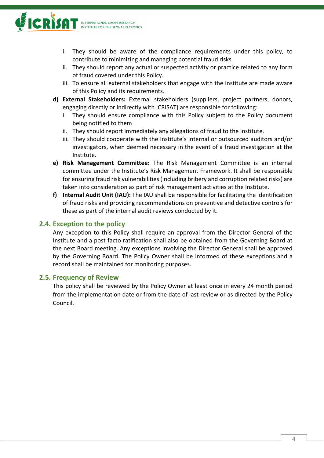

- i. They should be aware of the compliance requirements under this policy, to contribute to minimizing and managing potential fraud risks.
- ii. They should report any actual or suspected activity or practice related to any form of fraud covered under this Policy.
- iii. To ensure all external stakeholders that engage with the Institute are made aware of this Policy and its requirements.
- **d) External Stakeholders:** External stakeholders (suppliers, project partners, donors, engaging directly or indirectly with ICRISAT) are responsible for following:
	- i. They should ensure compliance with this Policy subject to the Policy document being notified to them
	- ii. They should report immediately any allegations of fraud to the Institute.
	- iii. They should cooperate with the Institute's internal or outsourced auditors and/or investigators, when deemed necessary in the event of a fraud investigation at the Institute.
- **e) Risk Management Committee:** The Risk Management Committee is an internal committee under the Institute's Risk Management Framework. It shall be responsible for ensuring fraud risk vulnerabilities (including bribery and corruption related risks) are taken into consideration as part of risk management activities at the Institute.
- **f) Internal Audit Unit (IAU):** The IAU shall be responsible for facilitating the identification of fraud risks and providing recommendations on preventive and detective controls for these as part of the internal audit reviews conducted by it.

## <span id="page-4-0"></span>**2.4. Exception to the policy**

Any exception to this Policy shall require an approval from the Director General of the Institute and a post facto ratification shall also be obtained from the Governing Board at the next Board meeting. Any exceptions involving the Director General shall be approved by the Governing Board. The Policy Owner shall be informed of these exceptions and a record shall be maintained for monitoring purposes.

#### <span id="page-4-1"></span>**2.5. Frequency of Review**

This policy shall be reviewed by the Policy Owner at least once in every 24 month period from the implementation date or from the date of last review or as directed by the Policy Council.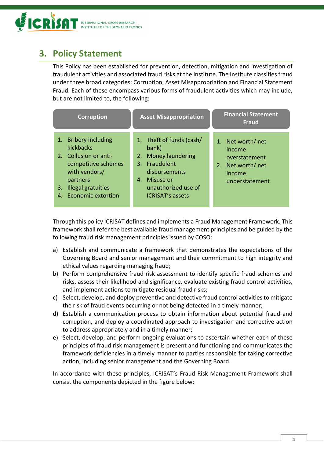

# <span id="page-5-0"></span>**3. Policy Statement**

This Policy has been established for prevention, detection, mitigation and investigation of fraudulent activities and associated fraud risks at the Institute. The Institute classifies fraud under three broad categories: Corruption, Asset Misappropriation and Financial Statement Fraud. Each of these encompass various forms of fraudulent activities which may include, but are not limited to, the following:

| <b>Corruption</b>                                                                                                                                                                    | <b>Asset Misappropriation</b>                                                                                                                                             | <b>Financial Statement</b><br><b>Fraud</b>                                                     |
|--------------------------------------------------------------------------------------------------------------------------------------------------------------------------------------|---------------------------------------------------------------------------------------------------------------------------------------------------------------------------|------------------------------------------------------------------------------------------------|
| 1. Bribery including<br>kickbacks<br>2. Collusion or anti-<br>competitive schemes<br>with vendors/<br>partners<br><b>Illegal gratuities</b><br>3.<br><b>Economic extortion</b><br>4. | 1. Theft of funds (cash/<br>bank)<br><b>Money laundering</b><br>2.<br>3. Fraudulent<br>disbursements<br>Misuse or<br>4.<br>unauthorized use of<br><b>ICRISAT's assets</b> | 1. Net worth/net<br>income<br>overstatement<br>Net worth/net<br>2.<br>income<br>understatement |

Through this policy ICRISAT defines and implements a Fraud Management Framework. This framework shall refer the best available fraud management principles and be guided by the following fraud risk management principles issued by COSO:

- a) Establish and communicate a framework that demonstrates the expectations of the Governing Board and senior management and their commitment to high integrity and ethical values regarding managing fraud;
- b) Perform comprehensive fraud risk assessment to identify specific fraud schemes and risks, assess their likelihood and significance, evaluate existing fraud control activities, and implement actions to mitigate residual fraud risks;
- c) Select, develop, and deploy preventive and detective fraud control activities to mitigate the risk of fraud events occurring or not being detected in a timely manner;
- d) Establish a communication process to obtain information about potential fraud and corruption, and deploy a coordinated approach to investigation and corrective action to address appropriately and in a timely manner;
- e) Select, develop, and perform ongoing evaluations to ascertain whether each of these principles of fraud risk management is present and functioning and communicates the framework deficiencies in a timely manner to parties responsible for taking corrective action, including senior management and the Governing Board.

In accordance with these principles, ICRISAT's Fraud Risk Management Framework shall consist the components depicted in the figure below: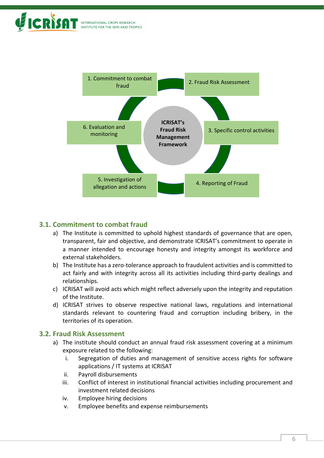



## <span id="page-6-0"></span>**3.1. Commitment to combat fraud**

- a) The Institute is committed to uphold highest standards of governance that are open, transparent, fair and objective, and demonstrate ICRISAT's commitment to operate in a manner intended to encourage honesty and integrity amongst its workforce and external stakeholders.
- b) The Institute has a zero-tolerance approach to fraudulent activities and is committed to act fairly and with integrity across all its activities including third-party dealings and relationships.
- c) ICRISAT will avoid acts which might reflect adversely upon the integrity and reputation of the Institute.
- d) ICRISAT strives to observe respective national laws, regulations and international standards relevant to countering fraud and corruption including bribery, in the territories of its operation.

#### <span id="page-6-1"></span>**3.2. Fraud Risk Assessment**

- a) The institute should conduct an annual fraud risk assessment covering at a minimum exposure related to the following:
	- i. Segregation of duties and management of sensitive access rights for software applications / IT systems at ICRISAT
	- ii. Payroll disbursements
	- iii. Conflict of interest in institutional financial activities including procurement and investment related decisions
	- iv. Employee hiring decisions
	- v. Employee benefits and expense reimbursements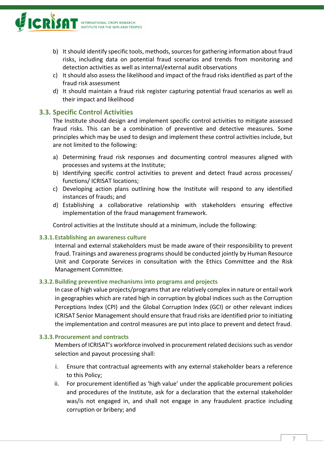

- b) It should identify specific tools, methods, sources for gathering information about fraud risks, including data on potential fraud scenarios and trends from monitoring and detection activities as well as internal/external audit observations
- c) It should also assess the likelihood and impact of the fraud risks identified as part of the fraud risk assessment
- d) It should maintain a fraud risk register capturing potential fraud scenarios as well as their impact and likelihood

## <span id="page-7-0"></span>**3.3. Specific Control Activities**

The Institute should design and implement specific control activities to mitigate assessed fraud risks. This can be a combination of preventive and detective measures. Some principles which may be used to design and implement these control activities include, but are not limited to the following:

- a) Determining fraud risk responses and documenting control measures aligned with processes and systems at the Institute;
- b) Identifying specific control activities to prevent and detect fraud across processes/ functions/ ICRISAT locations;
- c) Developing action plans outlining how the Institute will respond to any identified instances of frauds; and
- d) Establishing a collaborative relationship with stakeholders ensuring effective implementation of the fraud management framework.

Control activities at the Institute should at a minimum, include the following:

#### **3.3.1.Establishing an awareness culture**

Internal and external stakeholders must be made aware of their responsibility to prevent fraud. Trainings and awareness programs should be conducted jointly by Human Resource Unit and Corporate Services in consultation with the Ethics Committee and the Risk Management Committee.

#### **3.3.2.Building preventive mechanisms into programs and projects**

In case of high value projects/programs that are relatively complex in nature or entail work in geographies which are rated high in corruption by global indices such as the Corruption Perceptions Index (CPI) and the Global Corruption Index (GCI) or other relevant indices ICRISAT Senior Management should ensure that fraud risks are identified prior to initiating the implementation and control measures are put into place to prevent and detect fraud.

#### **3.3.3.Procurement and contracts**

Members of ICRISAT's workforce involved in procurement related decisions such as vendor selection and payout processing shall:

- i. Ensure that contractual agreements with any external stakeholder bears a reference to this Policy;
- ii. For procurement identified as 'high value' under the applicable procurement policies and procedures of the Institute, ask for a declaration that the external stakeholder was/is not engaged in, and shall not engage in any fraudulent practice including corruption or bribery; and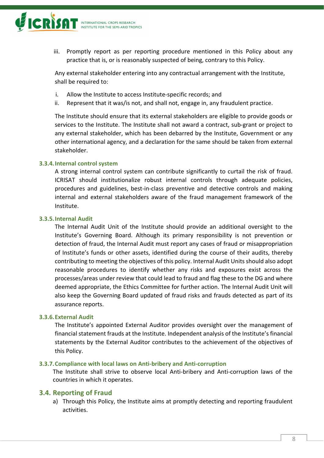

iii. Promptly report as per reporting procedure mentioned in this Policy about any practice that is, or is reasonably suspected of being, contrary to this Policy.

Any external stakeholder entering into any contractual arrangement with the Institute, shall be required to:

- i. Allow the Institute to access Institute-specific records; and
- ii. Represent that it was/is not, and shall not, engage in, any fraudulent practice.

The Institute should ensure that its external stakeholders are eligible to provide goods or services to the Institute. The Institute shall not award a contract, sub-grant or project to any external stakeholder, which has been debarred by the Institute, Government or any other international agency, and a declaration for the same should be taken from external stakeholder.

#### **3.3.4.Internal control system**

A strong internal control system can contribute significantly to curtail the risk of fraud. ICRISAT should institutionalize robust internal controls through adequate policies, procedures and guidelines, best-in-class preventive and detective controls and making internal and external stakeholders aware of the fraud management framework of the Institute.

#### **3.3.5.Internal Audit**

The Internal Audit Unit of the Institute should provide an additional oversight to the Institute's Governing Board. Although its primary responsibility is not prevention or detection of fraud, the Internal Audit must report any cases of fraud or misappropriation of Institute's funds or other assets, identified during the course of their audits, thereby contributing to meeting the objectives of this policy. Internal Audit Units should also adopt reasonable procedures to identify whether any risks and exposures exist across the processes/areas under review that could lead to fraud and flag these to the DG and where deemed appropriate, the Ethics Committee for further action. The Internal Audit Unit will also keep the Governing Board updated of fraud risks and frauds detected as part of its assurance reports.

#### **3.3.6.External Audit**

The Institute's appointed External Auditor provides oversight over the management of financial statement frauds at the Institute. Independent analysis of the Institute's financial statements by the External Auditor contributes to the achievement of the objectives of this Policy.

#### **3.3.7.Compliance with local laws on Anti-bribery and Anti-corruption**

The Institute shall strive to observe local Anti-bribery and Anti-corruption laws of the countries in which it operates.

#### <span id="page-8-0"></span>**3.4. Reporting of Fraud**

a) Through this Policy, the Institute aims at promptly detecting and reporting fraudulent activities.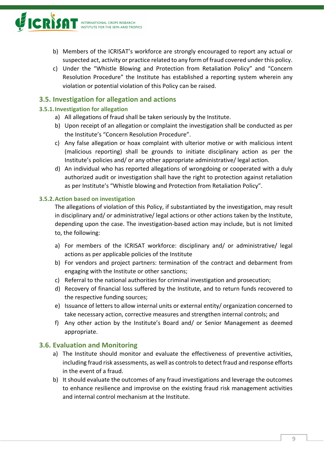

- b) Members of the ICRISAT's workforce are strongly encouraged to report any actual or suspected act, activity or practice related to any form of fraud covered under this policy.
- c) Under the "Whistle Blowing and Protection from Retaliation Policy" and "Concern Resolution Procedure" the Institute has established a reporting system wherein any violation or potential violation of this Policy can be raised.

# <span id="page-9-0"></span>**3.5. Investigation for allegation and actions**

#### **3.5.1.Investigation for allegation**

- a) All allegations of fraud shall be taken seriously by the Institute.
- b) Upon receipt of an allegation or complaint the investigation shall be conducted as per the Institute's "Concern Resolution Procedure".
- c) Any false allegation or hoax complaint with ulterior motive or with malicious intent (malicious reporting) shall be grounds to initiate disciplinary action as per the Institute's policies and/ or any other appropriate administrative/ legal action.
- d) An individual who has reported allegations of wrongdoing or cooperated with a duly authorized audit or investigation shall have the right to protection against retaliation as per Institute's "Whistle blowing and Protection from Retaliation Policy".

#### **3.5.2.Action based on investigation**

The allegations of violation of this Policy, if substantiated by the investigation, may result in disciplinary and/ or administrative/ legal actions or other actions taken by the Institute, depending upon the case. The investigation-based action may include, but is not limited to, the following:

- a) For members of the ICRISAT workforce: disciplinary and/ or administrative/ legal actions as per applicable policies of the Institute
- b) For vendors and project partners: termination of the contract and debarment from engaging with the Institute or other sanctions;
- c) Referral to the national authorities for criminal investigation and prosecution;
- d) Recovery of financial loss suffered by the Institute, and to return funds recovered to the respective funding sources;
- e) Issuance of letters to allow internal units or external entity/ organization concerned to take necessary action, corrective measures and strengthen internal controls; and
- f) Any other action by the Institute's Board and/ or Senior Management as deemed appropriate.

#### <span id="page-9-1"></span>**3.6. Evaluation and Monitoring**

- a) The Institute should monitor and evaluate the effectiveness of preventive activities, including fraud risk assessments, as well as controls to detect fraud and response efforts in the event of a fraud.
- b) It should evaluate the outcomes of any fraud investigations and leverage the outcomes to enhance resilience and improvise on the existing fraud risk management activities and internal control mechanism at the Institute.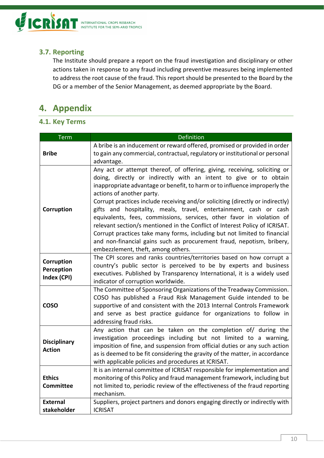

# <span id="page-10-0"></span>**3.7. Reporting**

The Institute should prepare a report on the fraud investigation and disciplinary or other actions taken in response to any fraud including preventive measures being implemented to address the root cause of the fraud. This report should be presented to the Board by the DG or a member of the Senior Management, as deemed appropriate by the Board.

# <span id="page-10-1"></span>**4. Appendix**

# <span id="page-10-2"></span>**4.1. Key Terms**

| <b>Term</b>                             | Definition                                                                                                                                                                                                                                                                                                                                                                                                                                                                                                                                                                                                                                                                                                                                                           |
|-----------------------------------------|----------------------------------------------------------------------------------------------------------------------------------------------------------------------------------------------------------------------------------------------------------------------------------------------------------------------------------------------------------------------------------------------------------------------------------------------------------------------------------------------------------------------------------------------------------------------------------------------------------------------------------------------------------------------------------------------------------------------------------------------------------------------|
| <b>Bribe</b>                            | A bribe is an inducement or reward offered, promised or provided in order<br>to gain any commercial, contractual, regulatory or institutional or personal<br>advantage.                                                                                                                                                                                                                                                                                                                                                                                                                                                                                                                                                                                              |
| Corruption                              | Any act or attempt thereof, of offering, giving, receiving, soliciting or<br>doing, directly or indirectly with an intent to give or to obtain<br>inappropriate advantage or benefit, to harm or to influence improperly the<br>actions of another party.<br>Corrupt practices include receiving and/or soliciting (directly or indirectly)<br>gifts and hospitality, meals, travel, entertainment, cash or cash<br>equivalents, fees, commissions, services, other favor in violation of<br>relevant section/s mentioned in the Conflict of Interest Policy of ICRISAT.<br>Corrupt practices take many forms, including but not limited to financial<br>and non-financial gains such as procurement fraud, nepotism, bribery,<br>embezzlement, theft, among others. |
| Corruption<br>Perception<br>Index (CPI) | The CPI scores and ranks countries/territories based on how corrupt a<br>country's public sector is perceived to be by experts and business<br>executives. Published by Transparency International, it is a widely used<br>indicator of corruption worldwide.                                                                                                                                                                                                                                                                                                                                                                                                                                                                                                        |
| <b>COSO</b>                             | The Committee of Sponsoring Organizations of the Treadway Commission.<br>COSO has published a Fraud Risk Management Guide intended to be<br>supportive of and consistent with the 2013 Internal Controls Framework<br>and serve as best practice guidance for organizations to follow in<br>addressing fraud risks.                                                                                                                                                                                                                                                                                                                                                                                                                                                  |
| <b>Disciplinary</b><br><b>Action</b>    | Any action that can be taken on the completion of/ during the<br>investigation proceedings including but not limited to a warning,<br>imposition of fine, and suspension from official duties or any such action<br>as is deemed to be fit considering the gravity of the matter, in accordance<br>with applicable policies and procedures at ICRISAT.                                                                                                                                                                                                                                                                                                                                                                                                               |
| <b>Ethics</b><br><b>Committee</b>       | It is an internal committee of ICRISAT responsible for implementation and<br>monitoring of this Policy and fraud management framework, including but<br>not limited to, periodic review of the effectiveness of the fraud reporting<br>mechanism.                                                                                                                                                                                                                                                                                                                                                                                                                                                                                                                    |
| <b>External</b><br>stakeholder          | Suppliers, project partners and donors engaging directly or indirectly with<br><b>ICRISAT</b>                                                                                                                                                                                                                                                                                                                                                                                                                                                                                                                                                                                                                                                                        |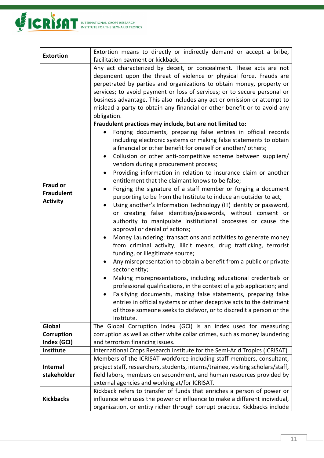

| <b>Extortion</b>                                        | Extortion means to directly or indirectly demand or accept a bribe,                                                                                                                                                                                                                                                                                                                                                                                                                                                                                                                                                                                                                                                                                                                                                                                                                                                                                                                                                                                                                                                                                                                                                                                                                                                                                                                                                                                                                                                                                                                                                                                                                                                                                                                                                                                                                                                                                                                                                                                |
|---------------------------------------------------------|----------------------------------------------------------------------------------------------------------------------------------------------------------------------------------------------------------------------------------------------------------------------------------------------------------------------------------------------------------------------------------------------------------------------------------------------------------------------------------------------------------------------------------------------------------------------------------------------------------------------------------------------------------------------------------------------------------------------------------------------------------------------------------------------------------------------------------------------------------------------------------------------------------------------------------------------------------------------------------------------------------------------------------------------------------------------------------------------------------------------------------------------------------------------------------------------------------------------------------------------------------------------------------------------------------------------------------------------------------------------------------------------------------------------------------------------------------------------------------------------------------------------------------------------------------------------------------------------------------------------------------------------------------------------------------------------------------------------------------------------------------------------------------------------------------------------------------------------------------------------------------------------------------------------------------------------------------------------------------------------------------------------------------------------------|
|                                                         | facilitation payment or kickback.                                                                                                                                                                                                                                                                                                                                                                                                                                                                                                                                                                                                                                                                                                                                                                                                                                                                                                                                                                                                                                                                                                                                                                                                                                                                                                                                                                                                                                                                                                                                                                                                                                                                                                                                                                                                                                                                                                                                                                                                                  |
| <b>Fraud or</b><br><b>Fraudulent</b><br><b>Activity</b> | Any act characterized by deceit, or concealment. These acts are not<br>dependent upon the threat of violence or physical force. Frauds are<br>perpetrated by parties and organizations to obtain money, property or<br>services; to avoid payment or loss of services; or to secure personal or<br>business advantage. This also includes any act or omission or attempt to<br>mislead a party to obtain any financial or other benefit or to avoid any<br>obligation.<br>Fraudulent practices may include, but are not limited to:<br>Forging documents, preparing false entries in official records<br>including electronic systems or making false statements to obtain<br>a financial or other benefit for oneself or another/ others;<br>Collusion or other anti-competitive scheme between suppliers/<br>$\bullet$<br>vendors during a procurement process;<br>Providing information in relation to insurance claim or another<br>$\bullet$<br>entitlement that the claimant knows to be false;<br>Forging the signature of a staff member or forging a document<br>$\bullet$<br>purporting to be from the Institute to induce an outsider to act;<br>Using another's Information Technology (IT) identity or password,<br>or creating false identities/passwords, without consent or<br>authority to manipulate institutional processes or cause the<br>approval or denial of actions;<br>Money Laundering: transactions and activities to generate money<br>٠<br>from criminal activity, illicit means, drug trafficking, terrorist<br>funding, or illegitimate source;<br>Any misrepresentation to obtain a benefit from a public or private<br>sector entity;<br>Making misrepresentations, including educational credentials or<br>professional qualifications, in the context of a job application; and<br>Falsifying documents, making false statements, preparing false<br>entries in official systems or other deceptive acts to the detriment<br>of those someone seeks to disfavor, or to discredit a person or the<br>Institute. |
| Global                                                  | The Global Corruption Index (GCI) is an index used for measuring                                                                                                                                                                                                                                                                                                                                                                                                                                                                                                                                                                                                                                                                                                                                                                                                                                                                                                                                                                                                                                                                                                                                                                                                                                                                                                                                                                                                                                                                                                                                                                                                                                                                                                                                                                                                                                                                                                                                                                                   |
| Corruption                                              | corruption as well as other white collar crimes, such as money laundering                                                                                                                                                                                                                                                                                                                                                                                                                                                                                                                                                                                                                                                                                                                                                                                                                                                                                                                                                                                                                                                                                                                                                                                                                                                                                                                                                                                                                                                                                                                                                                                                                                                                                                                                                                                                                                                                                                                                                                          |
| Index (GCI)                                             | and terrorism financing issues.                                                                                                                                                                                                                                                                                                                                                                                                                                                                                                                                                                                                                                                                                                                                                                                                                                                                                                                                                                                                                                                                                                                                                                                                                                                                                                                                                                                                                                                                                                                                                                                                                                                                                                                                                                                                                                                                                                                                                                                                                    |
| Institute                                               | International Crops Research Institute for the Semi-Arid Tropics (ICRISAT)                                                                                                                                                                                                                                                                                                                                                                                                                                                                                                                                                                                                                                                                                                                                                                                                                                                                                                                                                                                                                                                                                                                                                                                                                                                                                                                                                                                                                                                                                                                                                                                                                                                                                                                                                                                                                                                                                                                                                                         |
| <b>Internal</b>                                         | Members of the ICRISAT workforce including staff members, consultant,<br>project staff, researchers, students, interns/trainee, visiting scholars/staff,                                                                                                                                                                                                                                                                                                                                                                                                                                                                                                                                                                                                                                                                                                                                                                                                                                                                                                                                                                                                                                                                                                                                                                                                                                                                                                                                                                                                                                                                                                                                                                                                                                                                                                                                                                                                                                                                                           |
| stakeholder                                             | field labors, members on secondment, and human resources provided by                                                                                                                                                                                                                                                                                                                                                                                                                                                                                                                                                                                                                                                                                                                                                                                                                                                                                                                                                                                                                                                                                                                                                                                                                                                                                                                                                                                                                                                                                                                                                                                                                                                                                                                                                                                                                                                                                                                                                                               |
|                                                         | external agencies and working at/for ICRISAT.                                                                                                                                                                                                                                                                                                                                                                                                                                                                                                                                                                                                                                                                                                                                                                                                                                                                                                                                                                                                                                                                                                                                                                                                                                                                                                                                                                                                                                                                                                                                                                                                                                                                                                                                                                                                                                                                                                                                                                                                      |
|                                                         | Kickback refers to transfer of funds that enriches a person of power or                                                                                                                                                                                                                                                                                                                                                                                                                                                                                                                                                                                                                                                                                                                                                                                                                                                                                                                                                                                                                                                                                                                                                                                                                                                                                                                                                                                                                                                                                                                                                                                                                                                                                                                                                                                                                                                                                                                                                                            |
| <b>Kickbacks</b>                                        | influence who uses the power or influence to make a different individual,                                                                                                                                                                                                                                                                                                                                                                                                                                                                                                                                                                                                                                                                                                                                                                                                                                                                                                                                                                                                                                                                                                                                                                                                                                                                                                                                                                                                                                                                                                                                                                                                                                                                                                                                                                                                                                                                                                                                                                          |
|                                                         | organization, or entity richer through corrupt practice. Kickbacks include                                                                                                                                                                                                                                                                                                                                                                                                                                                                                                                                                                                                                                                                                                                                                                                                                                                                                                                                                                                                                                                                                                                                                                                                                                                                                                                                                                                                                                                                                                                                                                                                                                                                                                                                                                                                                                                                                                                                                                         |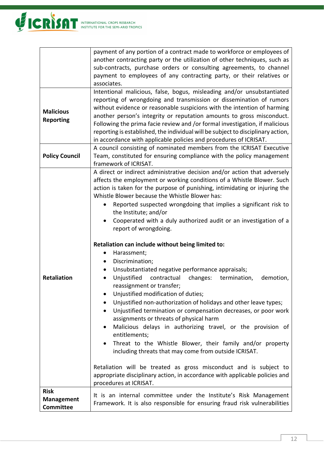

|                                                      | payment of any portion of a contract made to workforce or employees of<br>another contracting party or the utilization of other techniques, such as                                                                                                                                                                                                                                                                                                                                                                                                                                                                                                                                                                                                                                                                                                                                                                                                                                                                                                                                                                                                                                                                                                                                                                                                               |  |
|------------------------------------------------------|-------------------------------------------------------------------------------------------------------------------------------------------------------------------------------------------------------------------------------------------------------------------------------------------------------------------------------------------------------------------------------------------------------------------------------------------------------------------------------------------------------------------------------------------------------------------------------------------------------------------------------------------------------------------------------------------------------------------------------------------------------------------------------------------------------------------------------------------------------------------------------------------------------------------------------------------------------------------------------------------------------------------------------------------------------------------------------------------------------------------------------------------------------------------------------------------------------------------------------------------------------------------------------------------------------------------------------------------------------------------|--|
|                                                      | sub-contracts, purchase orders or consulting agreements, to channel<br>payment to employees of any contracting party, or their relatives or<br>associates.                                                                                                                                                                                                                                                                                                                                                                                                                                                                                                                                                                                                                                                                                                                                                                                                                                                                                                                                                                                                                                                                                                                                                                                                        |  |
| <b>Malicious</b><br><b>Reporting</b>                 | Intentional malicious, false, bogus, misleading and/or unsubstantiated<br>reporting of wrongdoing and transmission or dissemination of rumors<br>without evidence or reasonable suspicions with the intention of harming<br>another person's integrity or reputation amounts to gross misconduct.<br>Following the prima facie review and /or formal investigation, if malicious<br>reporting is established, the individual will be subject to disciplinary action,<br>in accordance with applicable policies and procedures of ICRISAT.                                                                                                                                                                                                                                                                                                                                                                                                                                                                                                                                                                                                                                                                                                                                                                                                                         |  |
| <b>Policy Council</b>                                | A council consisting of nominated members from the ICRISAT Executive<br>Team, constituted for ensuring compliance with the policy management<br>framework of ICRISAT.                                                                                                                                                                                                                                                                                                                                                                                                                                                                                                                                                                                                                                                                                                                                                                                                                                                                                                                                                                                                                                                                                                                                                                                             |  |
| <b>Retaliation</b>                                   | A direct or indirect administrative decision and/or action that adversely<br>affects the employment or working conditions of a Whistle Blower. Such<br>action is taken for the purpose of punishing, intimidating or injuring the<br>Whistle Blower because the Whistle Blower has:<br>Reported suspected wrongdoing that implies a significant risk to<br>the Institute; and/or<br>Cooperated with a duly authorized audit or an investigation of a<br>report of wrongdoing.<br>Retaliation can include without being limited to:<br>Harassment;<br>Discrimination;<br>٠<br>Unsubstantiated negative performance appraisals;<br>$\bullet$<br>Unjustified<br>contractual<br>changes:<br>termination,<br>demotion,<br>$\bullet$<br>reassignment or transfer;<br>Unjustified modification of duties;<br>Unjustified non-authorization of holidays and other leave types;<br>Unjustified termination or compensation decreases, or poor work<br>assignments or threats of physical harm<br>Malicious delays in authorizing travel, or the provision of<br>٠<br>entitlements;<br>Threat to the Whistle Blower, their family and/or property<br>$\bullet$<br>including threats that may come from outside ICRISAT.<br>Retaliation will be treated as gross misconduct and is subject to<br>appropriate disciplinary action, in accordance with applicable policies and |  |
| <b>Risk</b><br><b>Management</b><br><b>Committee</b> | procedures at ICRISAT.<br>It is an internal committee under the Institute's Risk Management<br>Framework. It is also responsible for ensuring fraud risk vulnerabilities                                                                                                                                                                                                                                                                                                                                                                                                                                                                                                                                                                                                                                                                                                                                                                                                                                                                                                                                                                                                                                                                                                                                                                                          |  |